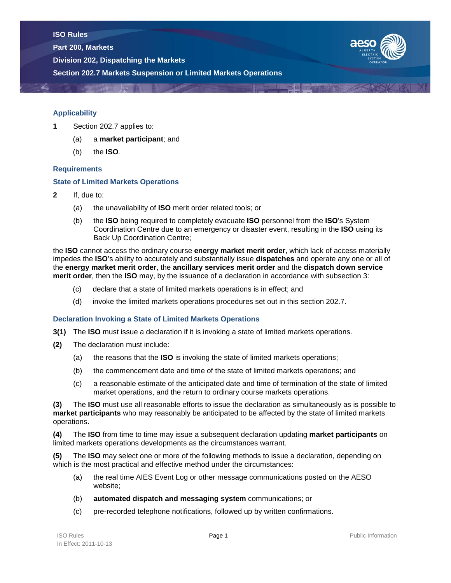**Part 200, Markets**

**Division 202, Dispatching the Markets**





## **Applicability**

- **1** Section 202.7 applies to:
	- (a) a **market participant**; and
	- (b) the **ISO***.*

## **Requirements**

## **State of Limited Markets Operations**

- **2** If, due to:
	- (a) the unavailability of **ISO** merit order related tools; or
	- (b) the **ISO** being required to completely evacuate **ISO** personnel from the **ISO**'s System Coordination Centre due to an emergency or disaster event, resulting in the **ISO** using its Back Up Coordination Centre;

the **ISO** cannot access the ordinary course **energy market merit order**, which lack of access materially impedes the **ISO**'s ability to accurately and substantially issue **dispatches** and operate any one or all of the **energy market merit order**, the **ancillary services merit order** and the **dispatch down service merit order**, then the **ISO** may, by the issuance of a declaration in accordance with subsection 3:

- (c) declare that a state of limited markets operations is in effect; and
- (d) invoke the limited markets operations procedures set out in this section 202.7.

## **Declaration Invoking a State of Limited Markets Operations**

- **3(1)** The **ISO** must issue a declaration if it is invoking a state of limited markets operations.
- **(2)** The declaration must include:
	- (a) the reasons that the **ISO** is invoking the state of limited markets operations;
	- (b) the commencement date and time of the state of limited markets operations; and
	- (c) a reasonable estimate of the anticipated date and time of termination of the state of limited market operations, and the return to ordinary course markets operations.

**(3)** The **ISO** must use all reasonable efforts to issue the declaration as simultaneously as is possible to **market participants** who may reasonably be anticipated to be affected by the state of limited markets operations.

**(4)** The **ISO** from time to time may issue a subsequent declaration updating **market participants** on limited markets operations developments as the circumstances warrant.

**(5)** The **ISO** may select one or more of the following methods to issue a declaration, depending on which is the most practical and effective method under the circumstances:

- (a) the real time AIES Event Log or other message communications posted on the AESO website;
- (b) **automated dispatch and messaging system** communications; or
- (c) pre-recorded telephone notifications, followed up by written confirmations.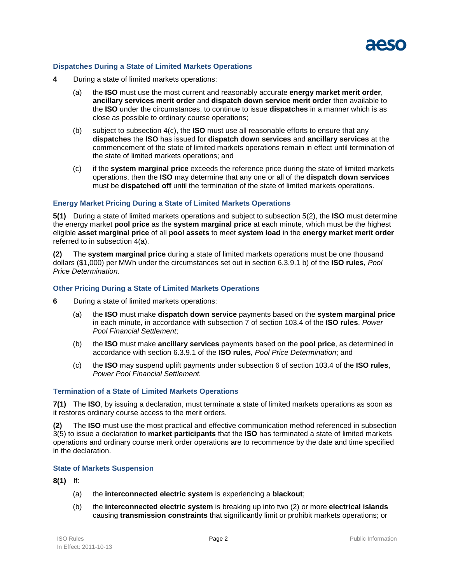

## **Dispatches During a State of Limited Markets Operations**

- **4** During a state of limited markets operations:
	- (a) the **ISO** must use the most current and reasonably accurate **energy market merit order**, **ancillary services merit order** and **dispatch down service merit order** then available to the **ISO** under the circumstances, to continue to issue **dispatches** in a manner which is as close as possible to ordinary course operations;
	- (b) subject to subsection 4(c), the **ISO** must use all reasonable efforts to ensure that any **dispatches** the **ISO** has issued for **dispatch down services** and **ancillary services** at the commencement of the state of limited markets operations remain in effect until termination of the state of limited markets operations; and
	- (c) if the **system marginal price** exceeds the reference price during the state of limited markets operations, then the **ISO** may determine that any one or all of the **dispatch down services**  must be **dispatched off** until the termination of the state of limited markets operations.

## **Energy Market Pricing During a State of Limited Markets Operations**

**5(1)** During a state of limited markets operations and subject to subsection 5(2), the **ISO** must determine the energy market **pool price** as the **system marginal price** at each minute, which must be the highest eligible **asset marginal price** of all **pool assets** to meet **system load** in the **energy market merit order** referred to in subsection 4(a).

**(2)** The **system marginal price** during a state of limited markets operations must be one thousand dollars (\$1,000) per MWh under the circumstances set out in section 6.3.9.1 b) of the **ISO rules***, Pool Price Determination*.

### **Other Pricing During a State of Limited Markets Operations**

- **6** During a state of limited markets operations:
	- (a) the **ISO** must make **dispatch down service** payments based on the **system marginal price** in each minute, in accordance with subsection 7 of section 103.4 of the **ISO rules**, *Power Pool Financial Settlement*;
	- (b) the **ISO** must make **ancillary services** payments based on the **pool price**, as determined in accordance with section 6.3.9.1 of the **ISO rules***, Pool Price Determination*; and
	- (c) the **ISO** may suspend uplift payments under subsection 6 of section 103.4 of the **ISO rules**, *Power Pool Financial Settlement.*

#### **Termination of a State of Limited Markets Operations**

**7(1)** The **ISO**, by issuing a declaration, must terminate a state of limited markets operations as soon as it restores ordinary course access to the merit orders.

**(2)** The **ISO** must use the most practical and effective communication method referenced in subsection 3(5) to issue a declaration to **market participants** that the **ISO** has terminated a state of limited markets operations and ordinary course merit order operations are to recommence by the date and time specified in the declaration.

#### **State of Markets Suspension**

**8(1)** If:

- (a) the **interconnected electric system** is experiencing a **blackout**;
- (b) the **interconnected electric system** is breaking up into two (2) or more **electrical islands**  causing **transmission constraints** that significantly limit or prohibit markets operations; or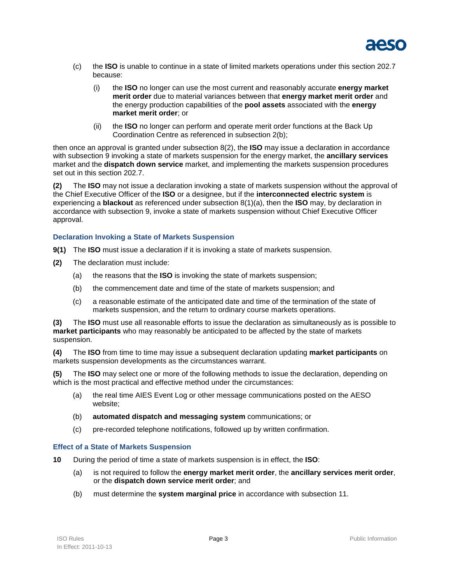

- (c) the **ISO** is unable to continue in a state of limited markets operations under this section 202.7 because:
	- (i) the **ISO** no longer can use the most current and reasonably accurate **energy market merit order** due to material variances between that **energy market merit order** and the energy production capabilities of the **pool assets** associated with the **energy market merit order**; or
	- (ii) the **ISO** no longer can perform and operate merit order functions at the Back Up Coordination Centre as referenced in subsection 2(b);

then once an approval is granted under subsection 8(2), the **ISO** may issue a declaration in accordance with subsection 9 invoking a state of markets suspension for the energy market, the **ancillary services** market and the **dispatch down service** market, and implementing the markets suspension procedures set out in this section 202.7.

**(2)** The **ISO** may not issue a declaration invoking a state of markets suspension without the approval of the Chief Executive Officer of the **ISO** or a designee, but if the **interconnected electric system** is experiencing a **blackout** as referenced under subsection 8(1)(a), then the **ISO** may, by declaration in accordance with subsection 9, invoke a state of markets suspension without Chief Executive Officer approval.

## **Declaration Invoking a State of Markets Suspension**

- **9(1)** The **ISO** must issue a declaration if it is invoking a state of markets suspension.
- **(2)** The declaration must include:
	- (a) the reasons that the **ISO** is invoking the state of markets suspension;
	- (b) the commencement date and time of the state of markets suspension; and
	- (c) a reasonable estimate of the anticipated date and time of the termination of the state of markets suspension, and the return to ordinary course markets operations.

**(3)** The **ISO** must use all reasonable efforts to issue the declaration as simultaneously as is possible to **market participants** who may reasonably be anticipated to be affected by the state of markets suspension.

**(4)** The **ISO** from time to time may issue a subsequent declaration updating **market participants** on markets suspension developments as the circumstances warrant.

**(5)** The **ISO** may select one or more of the following methods to issue the declaration, depending on which is the most practical and effective method under the circumstances:

- (a) the real time AIES Event Log or other message communications posted on the AESO website;
- (b) **automated dispatch and messaging system** communications; or
- (c) pre-recorded telephone notifications, followed up by written confirmation.

## **Effect of a State of Markets Suspension**

- **10** During the period of time a state of markets suspension is in effect, the **ISO**:
	- (a) is not required to follow the **energy market merit order**, the **ancillary services merit order**, or the **dispatch down service merit order**; and
	- (b) must determine the **system marginal price** in accordance with subsection 11.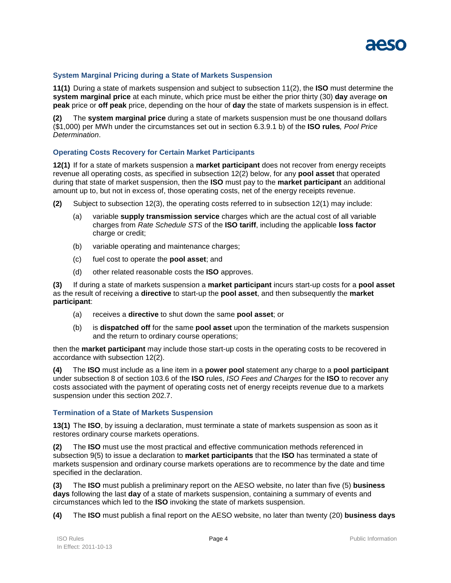

# **System Marginal Pricing during a State of Markets Suspension**

**11(1)** During a state of markets suspension and subject to subsection 11(2), the **ISO** must determine the **system marginal price** at each minute, which price must be either the prior thirty (30) **day** average **on peak** price or **off peak** price, depending on the hour of **day** the state of markets suspension is in effect.

**(2)** The **system marginal price** during a state of markets suspension must be one thousand dollars (\$1,000) per MWh under the circumstances set out in section 6.3.9.1 b) of the **ISO rules***, Pool Price Determination*.

## **Operating Costs Recovery for Certain Market Participants**

**12(1)** If for a state of markets suspension a **market participant** does not recover from energy receipts revenue all operating costs, as specified in subsection 12(2) below, for any **pool asset** that operated during that state of market suspension, then the **ISO** must pay to the **market participant** an additional amount up to, but not in excess of, those operating costs, net of the energy receipts revenue.

- **(2)** Subject to subsection 12(3), the operating costs referred to in subsection 12(1) may include:
	- (a) variable **supply transmission service** charges which are the actual cost of all variable charges from *Rate Schedule STS* of the **ISO tariff**, including the applicable **loss factor** charge or credit;
	- (b) variable operating and maintenance charges;
	- (c) fuel cost to operate the **pool asset**; and
	- (d) other related reasonable costs the **ISO** approves.

**(3)** If during a state of markets suspension a **market participant** incurs start-up costs for a **pool asset** as the result of receiving a **directive** to start-up the **pool asset**, and then subsequently the **market participant**:

- (a) receives a **directive** to shut down the same **pool asset**; or
- (b) is **dispatched off** for the same **pool asset** upon the termination of the markets suspension and the return to ordinary course operations;

then the **market participant** may include those start-up costs in the operating costs to be recovered in accordance with subsection 12(2).

**(4)** The **ISO** must include as a line item in a **power pool** statement any charge to a **pool participant**  under subsection 8 of section 103.6 of the **ISO** rules, *ISO Fees and Charges* for the **ISO** to recover any costs associated with the payment of operating costs net of energy receipts revenue due to a markets suspension under this section 202.7.

#### **Termination of a State of Markets Suspension**

**13(1)** The **ISO**, by issuing a declaration, must terminate a state of markets suspension as soon as it restores ordinary course markets operations.

**(2)** The **ISO** must use the most practical and effective communication methods referenced in subsection 9(5) to issue a declaration to **market participants** that the **ISO** has terminated a state of markets suspension and ordinary course markets operations are to recommence by the date and time specified in the declaration.

**(3)** The **ISO** must publish a preliminary report on the AESO website, no later than five (5) **business days** following the last **day** of a state of markets suspension, containing a summary of events and circumstances which led to the **ISO** invoking the state of markets suspension.

**(4)** The **ISO** must publish a final report on the AESO website, no later than twenty (20) **business days**